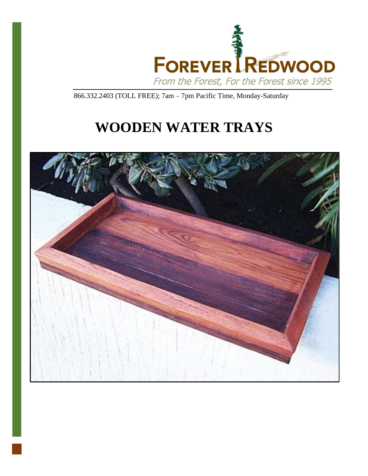

866.332.2403 (TOLL FREE); 7am – 7pm Pacific Time, Monday-Saturday

# **WOODEN WATER TRAYS**

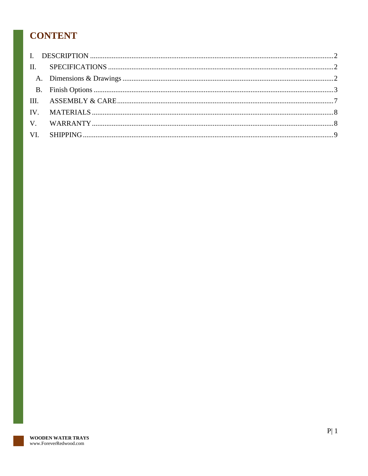# **CONTENT**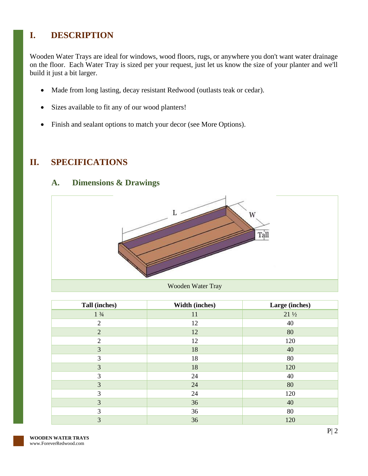# <span id="page-2-0"></span>**I. DESCRIPTION**

Wooden Water Trays are ideal for windows, wood floors, rugs, or anywhere you don't want water drainage on the floor. Each Water Tray is sized per your request, just let us know the size of your planter and we'll build it just a bit larger.

- Made from long lasting, decay resistant Redwood (outlasts teak or cedar).
- Sizes available to fit any of our wood planters!
- Finish and sealant options to match your decor (see More Options).

### <span id="page-2-2"></span><span id="page-2-1"></span>**II. SPECIFICATIONS**

#### **A. Dimensions & Drawings**



| Tall (inches)   | <b>Width (inches)</b> | Large (inches)  |
|-----------------|-----------------------|-----------------|
| $1 \frac{3}{4}$ | 11                    | $21\frac{1}{2}$ |
| $\overline{2}$  | 12                    | 40              |
| $\overline{2}$  | 12                    | 80              |
| $\overline{2}$  | 12                    | 120             |
| 3               | 18                    | 40              |
| 3               | 18                    | 80              |
| 3               | 18                    | 120             |
| 3               | 24                    | 40              |
| 3               | 24                    | 80              |
| 3               | 24                    | 120             |
| 3               | 36                    | 40              |
| 3               | 36                    | 80              |
| 3               | 36                    | 120             |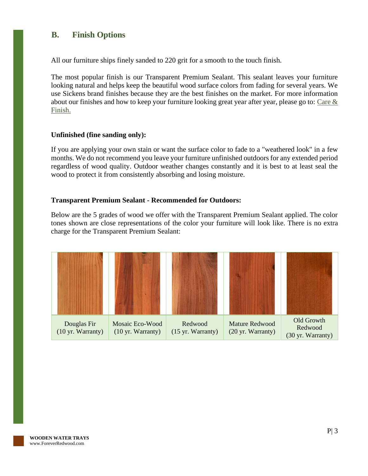#### <span id="page-3-0"></span>**B. Finish Options**

All our furniture ships finely sanded to 220 grit for a smooth to the touch finish.

The most popular finish is our Transparent Premium Sealant. This sealant leaves your furniture looking natural and helps keep the beautiful wood surface colors from fading for several years. We use Sickens brand finishes because they are the best finishes on the market. For more information about our finishes and how to keep your furniture looking great year after year, please go to: [Care &](https://www.foreverredwood.com/redwood-furniture/care-finish/)  [Finish.](https://www.foreverredwood.com/redwood-furniture/care-finish/)

#### **Unfinished (fine sanding only):**

If you are applying your own stain or want the surface color to fade to a "weathered look" in a few months. We do not recommend you leave your furniture unfinished outdoors for any extended period regardless of wood quality. Outdoor weather changes constantly and it is best to at least seal the wood to protect it from consistently absorbing and losing moisture.

#### **Transparent Premium Sealant - Recommended for Outdoors:**

Below are the 5 grades of wood we offer with the Transparent Premium Sealant applied. The color tones shown are close representations of the color your furniture will look like. There is no extra charge for the Transparent Premium Sealant:

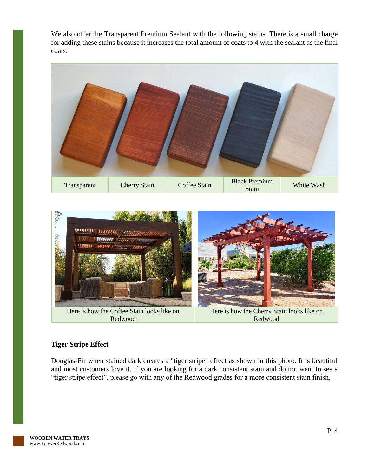We also offer the Transparent Premium Sealant with the following stains. There is a small charge for adding these stains because it increases the total amount of coats to 4 with the sealant as the final coats:





#### **Tiger Stripe Effect**

Douglas-Fir when stained dark creates a "tiger stripe" effect as shown in this photo. It is beautiful and most customers love it. If you are looking for a dark consistent stain and do not want to see a "tiger stripe effect", please go with any of the Redwood grades for a more consistent stain finish.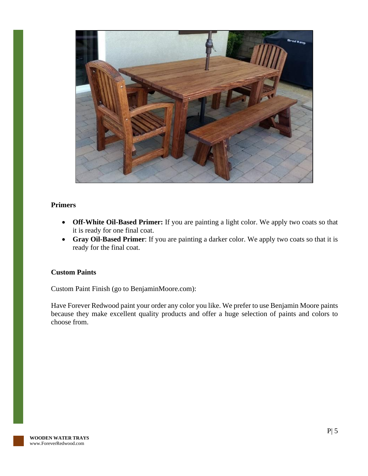

#### **Primers**

- **Off-White Oil-Based Primer:** If you are painting a light color. We apply two coats so that it is ready for one final coat.
- **Gray Oil-Based Primer**: If you are painting a darker color. We apply two coats so that it is ready for the final coat.

#### **Custom Paints**

Custom Paint Finish (go to BenjaminMoore.com):

Have Forever Redwood paint your order any color you like. We prefer to use Benjamin Moore paints because they make excellent quality products and offer a huge selection of paints and colors to choose from.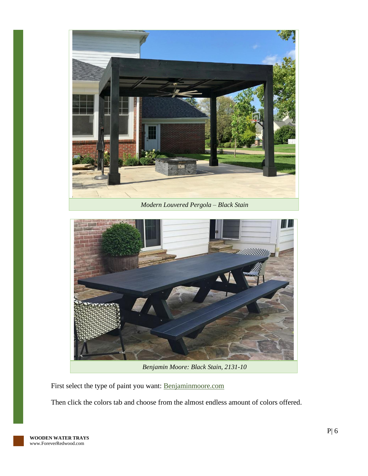



*Benjamin Moore: Black Stain, 2131-10*

First select the type of paint you want: [Benjaminmoore.com](http://www.benjaminmoore.com/)

Then click the colors tab and choose from the almost endless amount of colors offered.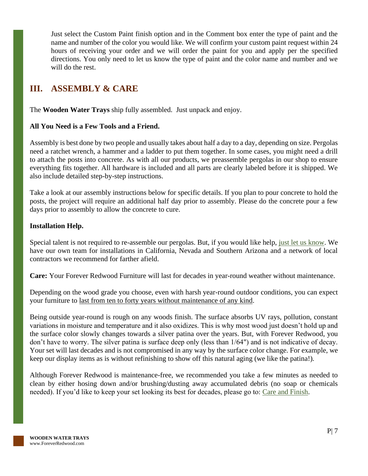Just select the Custom Paint finish option and in the Comment box enter the type of paint and the name and number of the color you would like. We will confirm your custom paint request within 24 hours of receiving your order and we will order the paint for you and apply per the specified directions. You only need to let us know the type of paint and the color name and number and we will do the rest.

## <span id="page-7-0"></span>**III. ASSEMBLY & CARE**

The **Wooden Water Trays** ship fully assembled. Just unpack and enjoy.

#### **All You Need is a Few Tools and a Friend.**

Assembly is best done by two people and usually takes about half a day to a day, depending on size. Pergolas need a ratchet wrench, a hammer and a ladder to put them together. In some cases, you might need a drill to attach the posts into concrete. As with all our products, we preassemble pergolas in our shop to ensure everything fits together. All hardware is included and all parts are clearly labeled before it is shipped. We also include detailed step-by-step instructions.

Take a look at our assembly instructions below for specific details. If you plan to pour concrete to hold the posts, the project will require an additional half day prior to assembly. Please do the concrete pour a few days prior to assembly to allow the concrete to cure.

#### **Installation Help.**

Special talent is not required to re-assemble our pergolas. But, if you would like help, [just let us know.](https://www.foreverredwood.com/information/contact) We have our own team for installations in California, Nevada and Southern Arizona and a network of local contractors we recommend for farther afield.

**Care:** Your Forever Redwood Furniture will last for decades in year-round weather without maintenance.

Depending on the wood grade you choose, even with harsh year-round outdoor conditions, you can expect your furniture to last from ten to forty years without maintenance of any kind.

Being outside year-round is rough on any woods finish. The surface absorbs UV rays, pollution, constant variations in moisture and temperature and it also oxidizes. This is why most wood just doesn't hold up and the surface color slowly changes towards a silver patina over the years. But, with Forever Redwood, you don't have to worry. The silver patina is surface deep only (less than 1/64") and is not indicative of decay. Your set will last decades and is not compromised in any way by the surface color change. For example, we keep our display items as is without refinishing to show off this natural aging (we like the patina!).

Although Forever Redwood is maintenance-free, we recommended you take a few minutes as needed to clean by either hosing down and/or brushing/dusting away accumulated debris (no soap or chemicals needed). If you'd like to keep your set looking its best for decades, please go to: [Care and Finish.](https://www.foreverredwood.com/redwood-furniture/care-finish)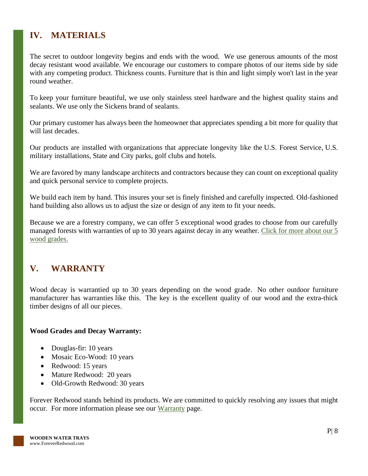# <span id="page-8-0"></span>**IV. MATERIALS**

The secret to outdoor longevity begins and ends with the wood. We use generous amounts of the most decay resistant wood available. We encourage our customers to compare photos of our items side by side with any competing product. Thickness counts. Furniture that is thin and light simply won't last in the year round weather.

To keep your furniture beautiful, we use only stainless steel hardware and the highest quality stains and sealants. We use only the Sickens brand of sealants.

Our primary customer has always been the homeowner that appreciates spending a bit more for quality that will last decades.

Our products are installed with organizations that appreciate longevity like the U.S. Forest Service, U.S. military installations, State and City parks, golf clubs and hotels.

We are favored by many landscape architects and contractors because they can count on exceptional quality and quick personal service to complete projects.

We build each item by hand. This insures your set is finely finished and carefully inspected. Old-fashioned hand building also allows us to adjust the size or design of any item to fit your needs.

Because we are a forestry company, we can offer 5 exceptional wood grades to choose from our carefully managed forests with warranties of up to 30 years against decay in any weather. Click for more about our 5 [wood grades.](https://www.foreverredwood.com/redwood-furniture/wood-grade/)

# <span id="page-8-1"></span>**V. WARRANTY**

Wood decay is warrantied up to 30 years depending on the wood grade. No other outdoor furniture manufacturer has warranties like this. The key is the excellent quality of our wood and the extra-thick timber designs of all our pieces.

#### **Wood Grades and Decay Warranty:**

- Douglas-fir: 10 years
- Mosaic Eco-Wood: 10 years
- Redwood: 15 years
- Mature Redwood: 20 years
- Old-Growth Redwood: 30 years

Forever Redwood stands behind its products. We are committed to quickly resolving any issues that might occur. For more information please see our [Warranty](https://www.foreverredwood.com/redwood-furniture/warranty) page.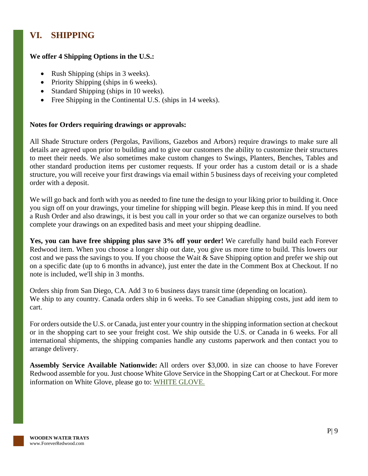# <span id="page-9-0"></span>**VI. SHIPPING**

#### **We offer 4 Shipping Options in the U.S.:**

- Rush Shipping (ships in 3 weeks).
- Priority Shipping (ships in 6 weeks).
- Standard Shipping (ships in 10 weeks).
- Free Shipping in the Continental U.S. (ships in 14 weeks).

#### **Notes for Orders requiring drawings or approvals:**

All Shade Structure orders (Pergolas, Pavilions, Gazebos and Arbors) require drawings to make sure all details are agreed upon prior to building and to give our customers the ability to customize their structures to meet their needs. We also sometimes make custom changes to Swings, Planters, Benches, Tables and other standard production items per customer requests. If your order has a custom detail or is a shade structure, you will receive your first drawings via email within 5 business days of receiving your completed order with a deposit.

We will go back and forth with you as needed to fine tune the design to your liking prior to building it. Once you sign off on your drawings, your timeline for shipping will begin. Please keep this in mind. If you need a Rush Order and also drawings, it is best you call in your order so that we can organize ourselves to both complete your drawings on an expedited basis and meet your shipping deadline.

**Yes, you can have free shipping plus save 3% off your order!** We carefully hand build each Forever Redwood item. When you choose a longer ship out date, you give us more time to build. This lowers our cost and we pass the savings to you. If you choose the Wait & Save Shipping option and prefer we ship out on a specific date (up to 6 months in advance), just enter the date in the Comment Box at Checkout. If no note is included, we'll ship in 3 months.

Orders ship from San Diego, CA. Add 3 to 6 business days transit time (depending on location). We ship to any country. Canada orders ship in 6 weeks. To see Canadian shipping costs, just add item to cart.

For orders outside the U.S. or Canada, just enter your country in the shipping information section at checkout or in the shopping cart to see your freight cost. We ship outside the U.S. or Canada in 6 weeks. For all international shipments, the shipping companies handle any customs paperwork and then contact you to arrange delivery.

**Assembly Service Available Nationwide:** All orders over \$3,000. in size can choose to have Forever Redwood assemble for you. Just choose White Glove Service in the Shopping Cart or at Checkout. For more information on White Glove, please go to: [WHITE GLOVE.](https://www.foreverredwood.com/white-glove/)